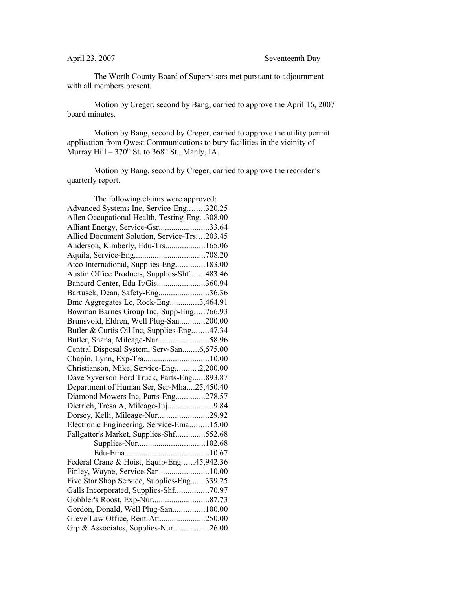The Worth County Board of Supervisors met pursuant to adjournment with all members present.

Motion by Creger, second by Bang, carried to approve the April 16, 2007 board minutes.

Motion by Bang, second by Creger, carried to approve the utility permit application from Qwest Communications to bury facilities in the vicinity of Murray Hill –  $370<sup>th</sup>$  St. to  $368<sup>th</sup>$  St., Manly, IA.

Motion by Bang, second by Creger, carried to approve the recorder's quarterly report.

| The following claims were approved:             |  |
|-------------------------------------------------|--|
| Advanced Systems Inc, Service-Eng320.25         |  |
| Allen Occupational Health, Testing-Eng. .308.00 |  |
| Alliant Energy, Service-Gsr33.64                |  |
| Allied Document Solution, Service-Trs203.45     |  |
| Anderson, Kimberly, Edu-Trs165.06               |  |
|                                                 |  |
| Atco International, Supplies-Eng183.00          |  |
| Austin Office Products, Supplies-Shf483.46      |  |
| Bancard Center, Edu-It/Gis360.94                |  |
| Bartusek, Dean, Safety-Eng36.36                 |  |
| Bmc Aggregates Lc, Rock-Eng3,464.91             |  |
| Bowman Barnes Group Inc, Supp-Eng766.93         |  |
| Brunsvold, Eldren, Well Plug-San200.00          |  |
| Butler & Curtis Oil Inc, Supplies-Eng47.34      |  |
| Butler, Shana, Mileage-Nur58.96                 |  |
| Central Disposal System, Serv-San6,575.00       |  |
| Chapin, Lynn, Exp-Tra10.00                      |  |
| Christianson, Mike, Service-Eng2,200.00         |  |
| Dave Syverson Ford Truck, Parts-Eng893.87       |  |
| Department of Human Ser, Ser-Mha25,450.40       |  |
| Diamond Mowers Inc, Parts-Eng278.57             |  |
| Dietrich, Tresa A, Mileage-Juj9.84              |  |
| Dorsey, Kelli, Mileage-Nur29.92                 |  |
| Electronic Engineering, Service-Ema15.00        |  |
| Fallgatter's Market, Supplies-Shf552.68         |  |
|                                                 |  |
|                                                 |  |
| Federal Crane & Hoist, Equip-Eng45,942.36       |  |
| Finley, Wayne, Service-San10.00                 |  |
| Five Star Shop Service, Supplies-Eng339.25      |  |
| Galls Incorporated, Supplies-Shf70.97           |  |
|                                                 |  |
| Gordon, Donald, Well Plug-San100.00             |  |
| Greve Law Office, Rent-Att250.00                |  |
| Grp & Associates, Supplies-Nur26.00             |  |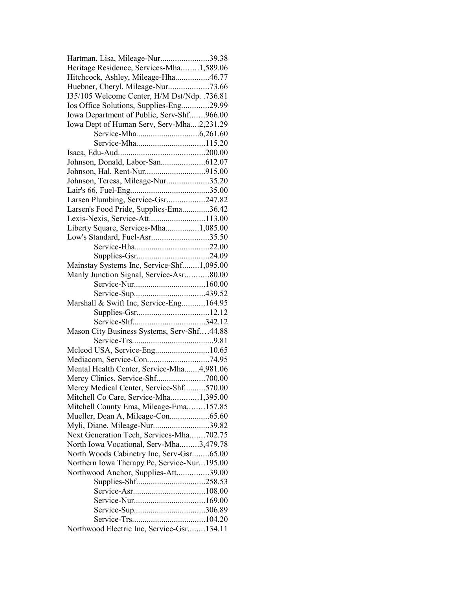| Hartman, Lisa, Mileage-Nur39.38              |  |
|----------------------------------------------|--|
| Heritage Residence, Services-Mha1,589.06     |  |
| Hitchcock, Ashley, Mileage-Hha46.77          |  |
| Huebner, Cheryl, Mileage-Nur73.66            |  |
| 135/105 Welcome Center, H/M Dst/Ndp. .736.81 |  |
| Ios Office Solutions, Supplies-Eng29.99      |  |
| Iowa Department of Public, Serv-Shf966.00    |  |
| Iowa Dept of Human Serv, Serv-Mha2,231.29    |  |
|                                              |  |
|                                              |  |
|                                              |  |
|                                              |  |
|                                              |  |
| Johnson, Teresa, Mileage-Nur35.20            |  |
|                                              |  |
| Larsen Plumbing, Service-Gsr247.82           |  |
| Larsen's Food Pride, Supplies-Ema36.42       |  |
| Lexis-Nexis, Service-Att113.00               |  |
| Liberty Square, Services-Mha1,085.00         |  |
| Low's Standard, Fuel-Asr35.50                |  |
|                                              |  |
|                                              |  |
|                                              |  |
| Mainstay Systems Inc, Service-Shf1,095.00    |  |
| Manly Junction Signal, Service-Asr80.00      |  |
|                                              |  |
|                                              |  |
| Marshall & Swift Inc, Service-Eng164.95      |  |
|                                              |  |
|                                              |  |
| Mason City Business Systems, Serv-Shf44.88   |  |
|                                              |  |
| Mcleod USA, Service-Eng10.65                 |  |
|                                              |  |
| Mental Health Center, Service-Mha4,981.06    |  |
|                                              |  |
| Mercy Medical Center, Service-Shf570.00      |  |
| Mitchell Co Care, Service-Mha1,395.00        |  |
| Mitchell County Ema, Mileage-Ema157.85       |  |
| Mueller, Dean A, Mileage-Con65.60            |  |
| Myli, Diane, Mileage-Nur39.82                |  |
| Next Generation Tech, Services-Mha702.75     |  |
| North Iowa Vocational, Serv-Mha3,479.78      |  |
| North Woods Cabinetry Inc, Serv-Gsr65.00     |  |
| Northern Iowa Therapy Pc, Service-Nur195.00  |  |
| Northwood Anchor, Supplies-Att39.00          |  |
|                                              |  |
|                                              |  |
|                                              |  |
|                                              |  |
|                                              |  |
| Northwood Electric Inc, Service-Gsr134.11    |  |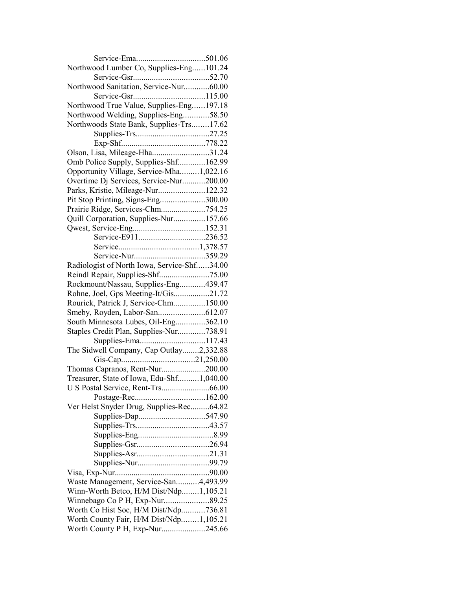| Northwood Lumber Co, Supplies-Eng101.24     |  |
|---------------------------------------------|--|
|                                             |  |
| Northwood Sanitation, Service-Nur60.00      |  |
|                                             |  |
| Northwood True Value, Supplies-Eng197.18    |  |
| Northwood Welding, Supplies-Eng58.50        |  |
| Northwoods State Bank, Supplies-Trs17.62    |  |
|                                             |  |
|                                             |  |
| Olson, Lisa, Mileage-Hha31.24               |  |
| Omb Police Supply, Supplies-Shf162.99       |  |
| Opportunity Village, Service-Mha1,022.16    |  |
| Overtime Dj Services, Service-Nur200.00     |  |
| Parks, Kristie, Mileage-Nur122.32           |  |
| Pit Stop Printing, Signs-Eng300.00          |  |
|                                             |  |
| Prairie Ridge, Services-Chm754.25           |  |
| Quill Corporation, Supplies-Nur157.66       |  |
|                                             |  |
|                                             |  |
|                                             |  |
| Service-Nur359.29                           |  |
| Radiologist of North Iowa, Service-Shf34.00 |  |
|                                             |  |
| Rockmount/Nassau, Supplies-Eng439.47        |  |
| Rohne, Joel, Gps Meeting-It/Gis21.72        |  |
| Rourick, Patrick J, Service-Chm150.00       |  |
|                                             |  |
| South Minnesota Lubes, Oil-Eng362.10        |  |
| Staples Credit Plan, Supplies-Nur738.91     |  |
|                                             |  |
| The Sidwell Company, Cap Outlay2,332.88     |  |
|                                             |  |
| Thomas Capranos, Rent-Nur200.00             |  |
| Treasurer, State of Iowa, Edu-Shf1,040.00   |  |
| U S Postal Service, Rent-Trs66.00           |  |
|                                             |  |
| Ver Helst Snyder Drug, Supplies-Rec64.82    |  |
| Supplies-Dap547.90                          |  |
|                                             |  |
|                                             |  |
|                                             |  |
|                                             |  |
|                                             |  |
|                                             |  |
| Waste Management, Service-San4,493.99       |  |
| Winn-Worth Betco, H/M Dist/Ndp1,105.21      |  |
|                                             |  |
| Worth Co Hist Soc, H/M Dist/Ndp736.81       |  |
| Worth County Fair, H/M Dist/Ndp1,105.21     |  |
|                                             |  |
| Worth County P H, Exp-Nur245.66             |  |